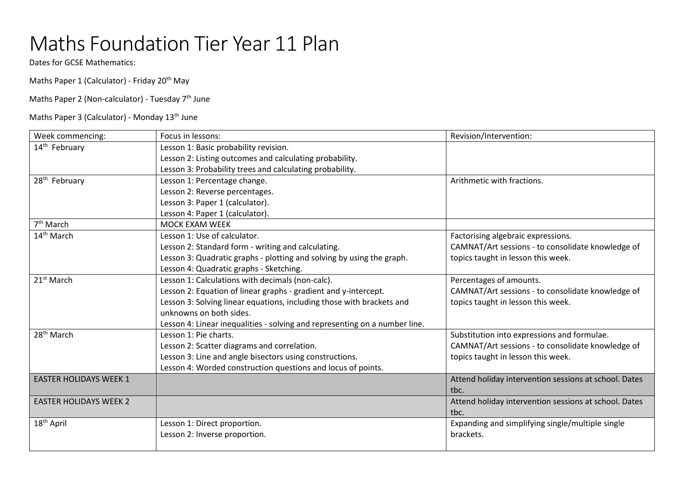## Maths Foundation Tier Year 11 Plan

Dates for GCSE Mathematics:

Maths Paper 1 (Calculator) - Friday 20<sup>th</sup> May

Maths Paper 2 (Non-calculator) - Tuesday  $7<sup>th</sup>$  June

Maths Paper 3 (Calculator) - Monday 13<sup>th</sup> June

| Week commencing:              | Focus in lessons:                                                          | Revision/Intervention:                                |
|-------------------------------|----------------------------------------------------------------------------|-------------------------------------------------------|
| 14 <sup>th</sup> February     | Lesson 1: Basic probability revision.                                      |                                                       |
|                               | Lesson 2: Listing outcomes and calculating probability.                    |                                                       |
|                               | Lesson 3: Probability trees and calculating probability.                   |                                                       |
| 28 <sup>th</sup> February     | Lesson 1: Percentage change.                                               | Arithmetic with fractions.                            |
|                               | Lesson 2: Reverse percentages.                                             |                                                       |
|                               | Lesson 3: Paper 1 (calculator).                                            |                                                       |
|                               | Lesson 4: Paper 1 (calculator).                                            |                                                       |
| $7th$ March                   | <b>MOCK EXAM WEEK</b>                                                      |                                                       |
| 14 <sup>th</sup> March        | Lesson 1: Use of calculator.                                               | Factorising algebraic expressions.                    |
|                               | Lesson 2: Standard form - writing and calculating.                         | CAMNAT/Art sessions - to consolidate knowledge of     |
|                               | Lesson 3: Quadratic graphs - plotting and solving by using the graph.      | topics taught in lesson this week.                    |
|                               | Lesson 4: Quadratic graphs - Sketching.                                    |                                                       |
| 21 <sup>st</sup> March        | Lesson 1: Calculations with decimals (non-calc).                           | Percentages of amounts.                               |
|                               | Lesson 2: Equation of linear graphs - gradient and y-intercept.            | CAMNAT/Art sessions - to consolidate knowledge of     |
|                               | Lesson 3: Solving linear equations, including those with brackets and      | topics taught in lesson this week.                    |
|                               | unknowns on both sides.                                                    |                                                       |
|                               | Lesson 4: Linear inequalities - solving and representing on a number line. |                                                       |
| 28 <sup>th</sup> March        | Lesson 1: Pie charts.                                                      | Substitution into expressions and formulae.           |
|                               | Lesson 2: Scatter diagrams and correlation.                                | CAMNAT/Art sessions - to consolidate knowledge of     |
|                               | Lesson 3: Line and angle bisectors using constructions.                    | topics taught in lesson this week.                    |
|                               | Lesson 4: Worded construction questions and locus of points.               |                                                       |
| <b>EASTER HOLIDAYS WEEK 1</b> |                                                                            | Attend holiday intervention sessions at school. Dates |
|                               |                                                                            | tbc.                                                  |
| <b>EASTER HOLIDAYS WEEK 2</b> |                                                                            | Attend holiday intervention sessions at school. Dates |
|                               |                                                                            | tbc.                                                  |
| 18 <sup>th</sup> April        | Lesson 1: Direct proportion.                                               | Expanding and simplifying single/multiple single      |
|                               | Lesson 2: Inverse proportion.                                              | brackets.                                             |
|                               |                                                                            |                                                       |